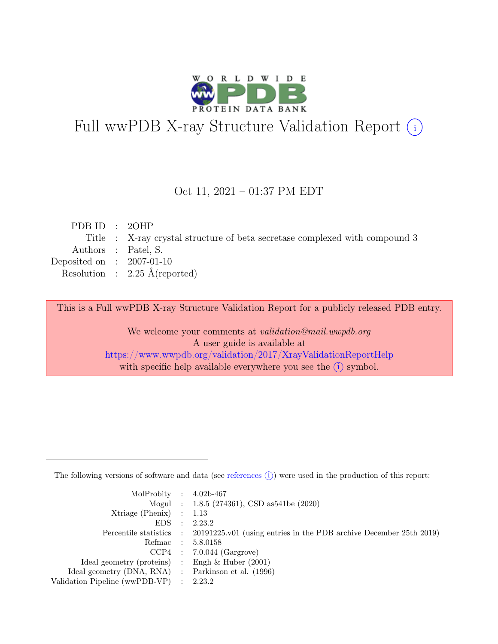

# Full wwPDB X-ray Structure Validation Report  $(i)$

#### Oct 11, 2021 – 01:37 PM EDT

| PDB ID : $20HP$             |                                                                             |
|-----------------------------|-----------------------------------------------------------------------------|
|                             | Title : X-ray crystal structure of beta secretase complexed with compound 3 |
|                             | Authors : Patel, S.                                                         |
| Deposited on : $2007-01-10$ |                                                                             |
|                             | Resolution : $2.25 \text{ Å}$ (reported)                                    |
|                             |                                                                             |

This is a Full wwPDB X-ray Structure Validation Report for a publicly released PDB entry.

We welcome your comments at validation@mail.wwpdb.org A user guide is available at <https://www.wwpdb.org/validation/2017/XrayValidationReportHelp> with specific help available everywhere you see the  $(i)$  symbol.

The following versions of software and data (see [references](https://www.wwpdb.org/validation/2017/XrayValidationReportHelp#references)  $(i)$ ) were used in the production of this report:

| MolProbity : $4.02b-467$                            |           |                                                                                            |
|-----------------------------------------------------|-----------|--------------------------------------------------------------------------------------------|
|                                                     |           | Mogul : 1.8.5 (274361), CSD as 541be (2020)                                                |
| $Xtriangle (Phenix)$ : 1.13                         |           |                                                                                            |
| EDS                                                 | $\cdot$ : | 2.23.2                                                                                     |
|                                                     |           | Percentile statistics : 20191225.v01 (using entries in the PDB archive December 25th 2019) |
| Refmac : 5.8.0158                                   |           |                                                                                            |
|                                                     |           | $CCP4$ : 7.0.044 (Gargrove)                                                                |
| Ideal geometry (proteins) : Engh $\&$ Huber (2001)  |           |                                                                                            |
| Ideal geometry (DNA, RNA) : Parkinson et al. (1996) |           |                                                                                            |
| Validation Pipeline (wwPDB-VP) : 2.23.2             |           |                                                                                            |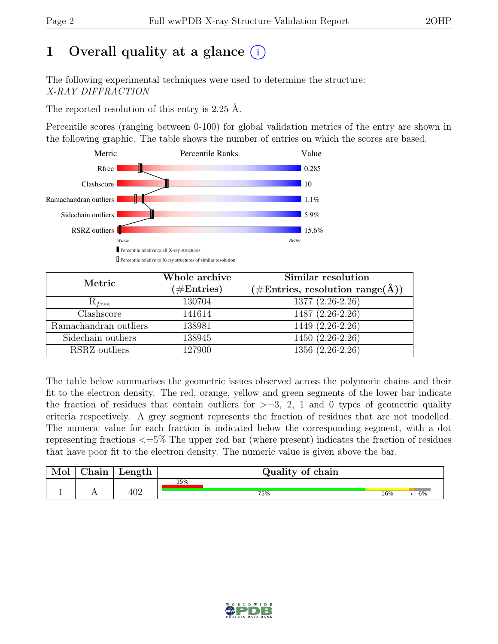# 1 Overall quality at a glance  $(i)$

The following experimental techniques were used to determine the structure: X-RAY DIFFRACTION

The reported resolution of this entry is 2.25 Å.

Percentile scores (ranging between 0-100) for global validation metrics of the entry are shown in the following graphic. The table shows the number of entries on which the scores are based.



| Metric                    | Whole archive<br>$(\#Entries)$ | Similar resolution<br>$(\# \text{Entries}, \text{ resolution } \text{range}(\AA))$ |
|---------------------------|--------------------------------|------------------------------------------------------------------------------------|
| $R_{free}$                | 130704                         | 1377 (2.26-2.26)                                                                   |
| $\overline{\text{Class}}$ | 141614                         | $1487(2.26-2.26)$                                                                  |
| Ramachandran outliers     | 138981                         | 1449 (2.26-2.26)                                                                   |
| Sidechain outliers        | 138945                         | $1450(2.26-2.26)$                                                                  |
| RSRZ outliers             | 127900                         | 1356 (2.26-2.26)                                                                   |

The table below summarises the geometric issues observed across the polymeric chains and their fit to the electron density. The red, orange, yellow and green segments of the lower bar indicate the fraction of residues that contain outliers for  $\geq$ =3, 2, 1 and 0 types of geometric quality criteria respectively. A grey segment represents the fraction of residues that are not modelled. The numeric value for each fraction is indicated below the corresponding segment, with a dot representing fractions <=5% The upper red bar (where present) indicates the fraction of residues that have poor fit to the electron density. The numeric value is given above the bar.

| Mol | $\sim$ 1<br>hain! | Length | Quality of chain |     |    |
|-----|-------------------|--------|------------------|-----|----|
|     |                   | 402    | 15%              |     |    |
|     |                   |        | 75%              | 16% | 6% |

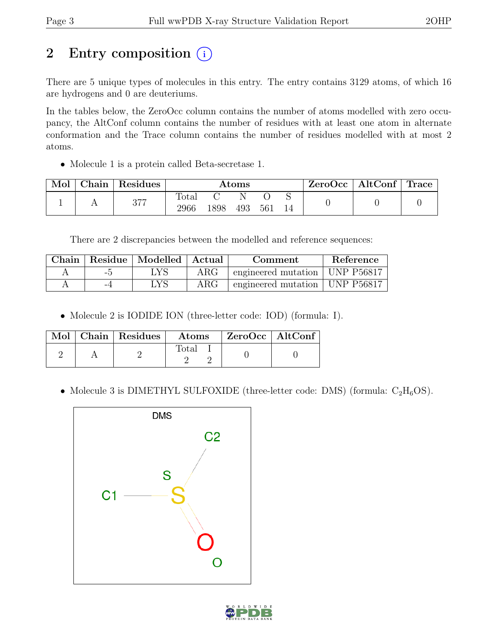# 2 Entry composition  $(i)$

There are 5 unique types of molecules in this entry. The entry contains 3129 atoms, of which 16 are hydrogens and 0 are deuteriums.

In the tables below, the ZeroOcc column contains the number of atoms modelled with zero occupancy, the AltConf column contains the number of residues with at least one atom in alternate conformation and the Trace column contains the number of residues modelled with at most 2 atoms.

• Molecule 1 is a protein called Beta-secretase 1.

| Mol | Chain   Residues | $\rm{Atoms}$  |      |     | $\text{ZeroOcc}$   AltConf   Trace |  |  |  |
|-----|------------------|---------------|------|-----|------------------------------------|--|--|--|
|     | 377              | Total<br>2966 | 1898 | 493 | 561                                |  |  |  |

There are 2 discrepancies between the modelled and reference sequences:

|     | Chain   Residue   Modelled   Actual | Comment    |                                  | Reference |
|-----|-------------------------------------|------------|----------------------------------|-----------|
| –.ካ | LYS                                 | $\rm{ARG}$ | engineered mutation   UNP P56817 |           |
| -4  | . YS                                | $\rm{ARG}$ | engineered mutation   UNP P56817 |           |

• Molecule 2 is IODIDE ION (three-letter code: IOD) (formula: I).

|  | $\blacksquare$ Mol $\vert$ Chain $\vert$ Residues $\vert$ | $\boldsymbol{\mathrm{Atoms}}$ | $\mid$ ZeroOcc $\mid$ AltConf |  |
|--|-----------------------------------------------------------|-------------------------------|-------------------------------|--|
|  |                                                           | Total                         |                               |  |

• Molecule 3 is DIMETHYL SULFOXIDE (three-letter code: DMS) (formula:  $C_2H_6OS$ ).



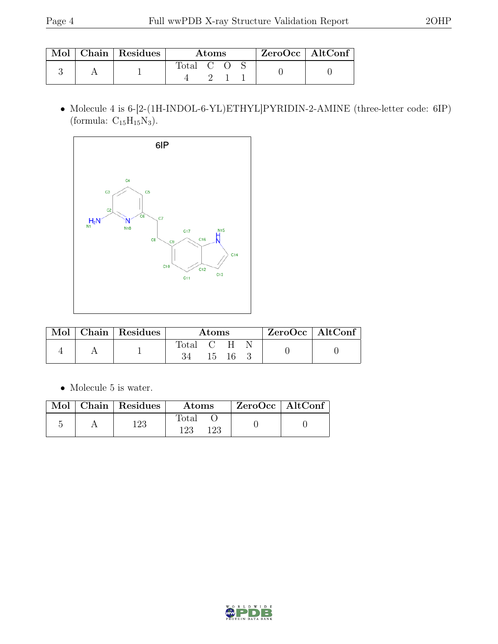|  | Mol   Chain   Residues | Atoms     |  |  | $ZeroOcc$   AltConf |  |
|--|------------------------|-----------|--|--|---------------------|--|
|  |                        | Total C O |  |  |                     |  |

 $\bullet$  Molecule 4 is 6-[2-(1H-INDOL-6-YL)ETHYL]PYRIDIN-2-AMINE (three-letter code: 6IP) (formula:  $\mathrm{C_{15}H_{15}N_3}).$ 



| Mol | $\vert$ Chain $\vert$ Residues $\vert$ | Atoms       |  |       |  | $ZeroOcc \mid AltConf \mid$ |
|-----|----------------------------------------|-------------|--|-------|--|-----------------------------|
|     |                                        | Total C H N |  |       |  |                             |
|     |                                        | 34          |  | 15 16 |  |                             |

 $\bullet\,$  Molecule 5 is water.

|  | Mol   Chain   Residues | Atoms               | $ZeroOcc \   \ AltConf \  $ |
|--|------------------------|---------------------|-----------------------------|
|  | 123                    | Total<br>123<br>123 |                             |

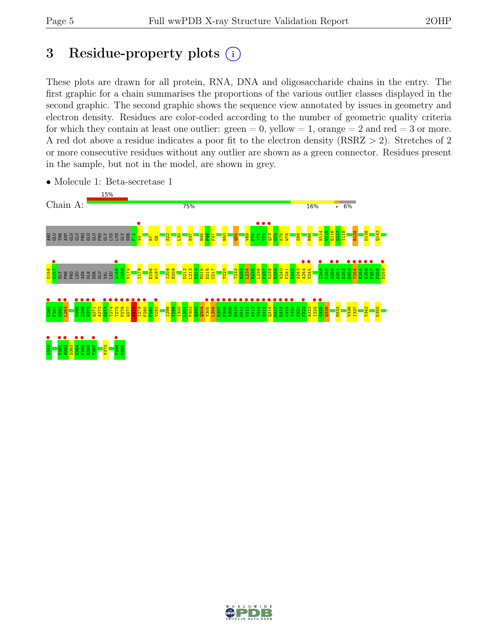# 3 Residue-property plots  $(i)$

These plots are drawn for all protein, RNA, DNA and oligosaccharide chains in the entry. The first graphic for a chain summarises the proportions of the various outlier classes displayed in the second graphic. The second graphic shows the sequence view annotated by issues in geometry and electron density. Residues are color-coded according to the number of geometric quality criteria for which they contain at least one outlier:  $green = 0$ , yellow  $= 1$ , orange  $= 2$  and red  $= 3$  or more. A red dot above a residue indicates a poor fit to the electron density (RSRZ > 2). Stretches of 2 or more consecutive residues without any outlier are shown as a green connector. Residues present in the sample, but not in the model, are shown in grey.



• Molecule 1: Beta-secretase 1

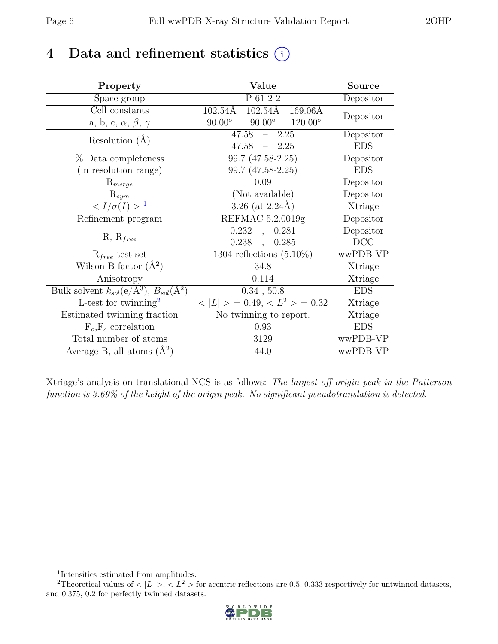# 4 Data and refinement statistics  $(i)$

| Property                                                             | Value                                               | <b>Source</b> |
|----------------------------------------------------------------------|-----------------------------------------------------|---------------|
| Space group                                                          | P 61 2 2                                            | Depositor     |
| Cell constants                                                       | $102.54\text{\AA}$ $169.06\text{\AA}$<br>102.54Å    | Depositor     |
| a, b, c, $\alpha$ , $\beta$ , $\gamma$                               | $90.00^{\circ}$ $120.00^{\circ}$<br>$90.00^{\circ}$ |               |
| Resolution $(A)$                                                     | $47.58 - 2.25$                                      | Depositor     |
|                                                                      | $47.58 - 2.25$                                      | <b>EDS</b>    |
| $%$ Data completeness                                                | 99.7 (47.58-2.25)                                   | Depositor     |
| (in resolution range)                                                | 99.7 (47.58-2.25)                                   | <b>EDS</b>    |
| $R_{merge}$                                                          | 0.09                                                | Depositor     |
| $\mathrm{R}_{sym}$                                                   | (Not available)                                     | Depositor     |
| $\langle I/\sigma(I) \rangle$ <sup>1</sup>                           | $3.26$ (at 2.24Å)                                   | Xtriage       |
| Refinement program                                                   | REFMAC 5.2.0019g                                    | Depositor     |
| $R, R_{free}$                                                        | 0.232<br>0.281<br>$\overline{\phantom{a}}$          | Depositor     |
|                                                                      | $0.238$ ,<br>0.285                                  | DCC           |
| $R_{free}$ test set                                                  | 1304 reflections $(5.10\%)$                         | wwPDB-VP      |
| Wilson B-factor $(A^2)$                                              | 34.8                                                | Xtriage       |
| Anisotropy                                                           | 0.114                                               | Xtriage       |
| Bulk solvent $k_{sol}(e/\mathring{A}^3)$ , $B_{sol}(\mathring{A}^2)$ | 0.34, 50.8                                          | <b>EDS</b>    |
| L-test for $\overline{\text{twinning}}^2$                            | $< L >$ = 0.49, $< L^2 >$ = 0.32                    | Xtriage       |
| Estimated twinning fraction                                          | $\overline{\text{No}}$ twinning to report.          | Xtriage       |
| $F_o, F_c$ correlation                                               | 0.93                                                | <b>EDS</b>    |
| Total number of atoms                                                | 3129                                                | wwPDB-VP      |
| Average B, all atoms $(A^2)$                                         | 44.0                                                | wwPDB-VP      |

Xtriage's analysis on translational NCS is as follows: The largest off-origin peak in the Patterson function is 3.69% of the height of the origin peak. No significant pseudotranslation is detected.

<sup>&</sup>lt;sup>2</sup>Theoretical values of  $\langle |L| \rangle$ ,  $\langle L^2 \rangle$  for acentric reflections are 0.5, 0.333 respectively for untwinned datasets, and 0.375, 0.2 for perfectly twinned datasets.



<span id="page-5-1"></span><span id="page-5-0"></span><sup>1</sup> Intensities estimated from amplitudes.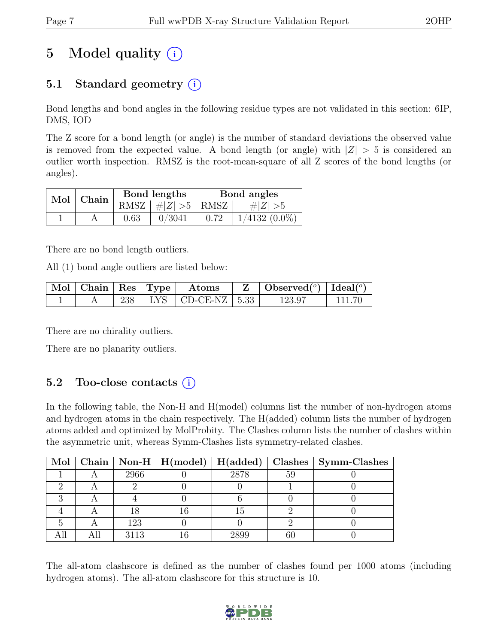# 5 Model quality  $(i)$

## 5.1 Standard geometry  $(i)$

Bond lengths and bond angles in the following residue types are not validated in this section: 6IP, DMS, IOD

The Z score for a bond length (or angle) is the number of standard deviations the observed value is removed from the expected value. A bond length (or angle) with  $|Z| > 5$  is considered an outlier worth inspection. RMSZ is the root-mean-square of all Z scores of the bond lengths (or angles).

| Mol   Chain |      | Bond lengths         | Bond angles |                 |  |
|-------------|------|----------------------|-------------|-----------------|--|
|             |      | RMSZ $ #Z  > 5$ RMSZ |             | $\# Z  > 5$     |  |
|             | 0.63 | 0/3041               | 0.72        | $1/4132(0.0\%)$ |  |

There are no bond length outliers.

All (1) bond angle outliers are listed below:

|  |  | $\mid$ Mol $\mid$ Chain $\mid$ Res $\mid$ Type $\mid$ Atoms | $\mathbf{Z}$   Observed( $^{\circ}$ )   Ideal( $^{\circ}$ ) |  |
|--|--|-------------------------------------------------------------|-------------------------------------------------------------|--|
|  |  | 238   LYS   CD-CE-NZ   $5.33$                               | 123.97                                                      |  |

There are no chirality outliers.

There are no planarity outliers.

### 5.2 Too-close contacts  $(i)$

In the following table, the Non-H and H(model) columns list the number of non-hydrogen atoms and hydrogen atoms in the chain respectively. The H(added) column lists the number of hydrogen atoms added and optimized by MolProbity. The Clashes column lists the number of clashes within the asymmetric unit, whereas Symm-Clashes lists symmetry-related clashes.

|  |      |      |    | Mol   Chain   Non-H   H(model)   H(added)   Clashes   Symm-Clashes |
|--|------|------|----|--------------------------------------------------------------------|
|  | 2966 | 2878 | 59 |                                                                    |
|  |      |      |    |                                                                    |
|  |      |      |    |                                                                    |
|  |      | 15   |    |                                                                    |
|  | 123  |      |    |                                                                    |
|  | 3113 | 2899 |    |                                                                    |

The all-atom clashscore is defined as the number of clashes found per 1000 atoms (including hydrogen atoms). The all-atom clashscore for this structure is 10.

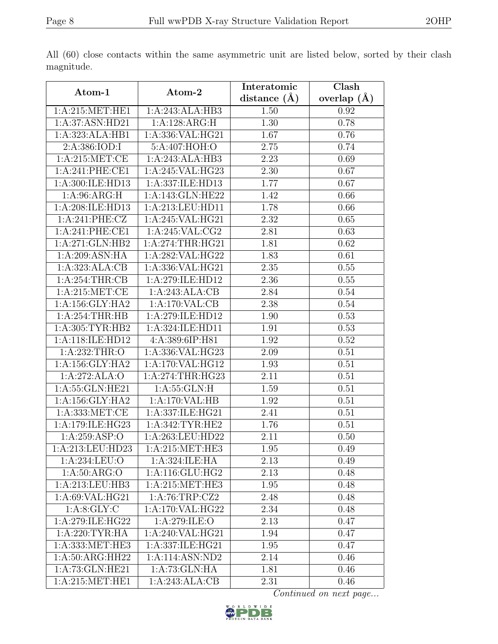|                     |                    | Interatomic    | Clash           |  |
|---------------------|--------------------|----------------|-----------------|--|
| Atom-1              | Atom-2             | distance $(A)$ | overlap $(\AA)$ |  |
| 1: A:215: MET:HE1   | 1:A:243:ALA:HB3    | 1.50           | 0.92            |  |
| 1:A:37:ASN:HD21     | 1:A:128:ARG:H      | 1.30           | 0.78            |  |
| 1:A:323:ALA:HB1     | 1:A:336:VAL:HG21   | 1.67           | 0.76            |  |
| 2:A:386:IOD:I       | 5:A:407:HOH:O      | 2.75           | 0.74            |  |
| 1: A:215:MET:CE     | 1:A:243:ALA:HB3    | 2.23           | 0.69            |  |
| 1:A:241:PHE:CE1     | 1:A:245:VAL:HG23   | 2.30           | 0.67            |  |
| 1:A:300:ILE:HD13    | 1:A:337:ILE:HD13   | 1.77           | 0.67            |  |
| 1: A:96: ARG:H      | 1:A:143:GLN:HE22   | 1.42           | 0.66            |  |
| 1:A:208:ILE:HD13    | 1:A:213:LEU:HD11   | 1.78           | 0.66            |  |
| 1:A:241:PHE:CZ      | 1:A:245:VAL:HG21   | 2.32           | 0.65            |  |
| 1:A:241:PHE:CE1     | 1:A:245:VAL:CG2    | 2.81           | 0.63            |  |
| 1:A:271:GLN:HB2     | 1:A:274:THR:HG21   | 1.81           | 0.62            |  |
| 1: A:209: ASN: HA   | 1:A:282:VAL:HG22   | 1.83           | 0.61            |  |
| 1:A:323:ALA:CB      | 1:A:336:VAL:HG21   | 2.35           | 0.55            |  |
| $1:A:254$ : THR: CB | 1:A:279:ILE:HD12   | 2.36           | 0.55            |  |
| 1: A:215: MET:CE    | 1:A:243:ALA:CB     | 2.84           | 0.54            |  |
| 1:A:156:GLY:HA2     | 1:A:170:VAL:CB     | 2.38           | 0.54            |  |
| 1: A:254:THR:HB     | 1:A:279:ILE:HD12   | 1.90           | 0.53            |  |
| 1:A:305:TYR:HB2     | 1:A:324:ILE:HD11   | 1.91           | 0.53            |  |
| 1:A:118:ILE:HD12    | 4:A:389:6IP:H81    | 1.92           | 0.52            |  |
| 1:A:232:THR:O       | 1:A:336:VAL:HG23   | 2.09           | 0.51            |  |
| 1: A: 156: GLY: HA2 | 1:A:170:VAL:HG12   | 1.93           | 0.51            |  |
| 1:A:272:ALA:O       | 1:A:274:THR:HG23   | 2.11           | 0.51            |  |
| 1:A:55:GLN:HE21     | 1: A: 55: GLN: H   | 1.59           | 0.51            |  |
| 1: A: 156: GLY: HA2 | 1:A:170:VAL:HB     | 1.92           | 0.51            |  |
| 1:A:333:MET:CE      | 1:A:337:ILE:HG21   | 2.41           | 0.51            |  |
| 1:A:179:ILE:HG23    | 1: A:342:TYR:HE2   | 1.76           | 0.51            |  |
| 1:A:259:ASP:O       | 1:A:263:LEU:HD22   | 2.11           | 0.50            |  |
| 1:A:213:LEU:HD23    | 1: A:215: MET:HE3  | 1.95           | 0.49            |  |
| 1:A:234:LEU:O       | 1:A:324:ILE:HA     | 2.13           | 0.49            |  |
| 1: A:50: ARG:O      | 1: A:116: GLU: HG2 | 2.13           | 0.48            |  |
| 1:A:213:LEU:HB3     | 1: A:215: MET:HE3  | 1.95           | 0.48            |  |
| 1:A:69:VAL:HG21     | 1: A:76:TRP: CZ2   | 2.48           | 0.48            |  |
| 1: A:8: GLY: C      | 1:A:170:VAL:HG22   | 2.34           | 0.48            |  |
| 1:A:279:ILE:HG22    | 1:A:279:ILE:O      | 2.13           | 0.47            |  |
| 1:A:220:TYR:HA      | 1:A:240:VAL:HG21   | 1.94           | 0.47            |  |
| 1:A:333:MET:HE3     | 1:A:337:ILE:HG21   | 1.95           | 0.47            |  |
| 1:A:50:ARG:HH22     | 1:A:114:ASN:ND2    | 2.14           | 0.46            |  |
| 1:A:73:GLN:HE21     | 1:A:73:GLN:HA      | 1.81           | 0.46            |  |
| 1: A:215: MET:HE1   | 1:A:243:ALA:CB     | 2.31           | 0.46            |  |

All (60) close contacts within the same asymmetric unit are listed below, sorted by their clash magnitude.

Continued on next page...

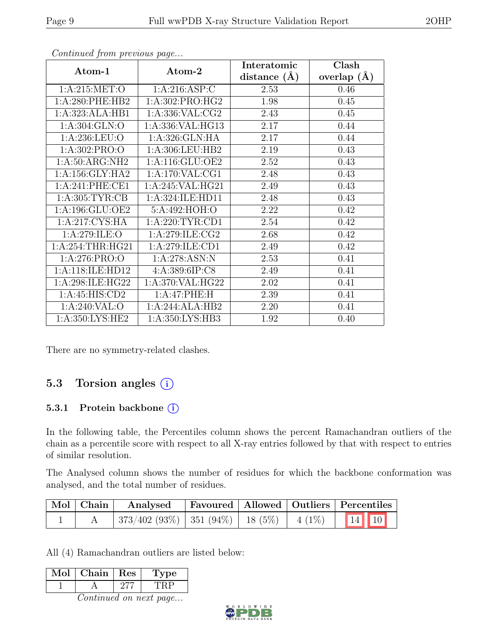|                     |                     | Interatomic      | Clash         |  |
|---------------------|---------------------|------------------|---------------|--|
| Atom-1              | Atom-2              | distance $(\AA)$ | overlap $(A)$ |  |
| 1: A:215: MET:O     | 1: A:216: ASP:C     | 2.53             | 0.46          |  |
| 1:A:280:PHE:HB2     | 1:A:302:PRO:HG2     | 1.98             | 0.45          |  |
| 1:A:323:ALA:HB1     | 1: A: 336: VAL: CG2 | 2.43             | 0.45          |  |
| 1:A:304:GLN:O       | 1:A:336:VAL:HG13    | 2.17             | 0.44          |  |
| 1:A:236:LEU:O       | 1:A:326:GLN:HA      | 2.17             | 0.44          |  |
| 1: A:302: PRO:O     | 1:A:306:LEU:HB2     | 2.19             | 0.43          |  |
| 1:A:50:ARG:NH2      | 1:A:116:GLU:OE2     | $2.52\,$         | 0.43          |  |
| 1: A: 156: GLY: HA2 | 1:A:170:VAL:CG1     | 2.48             | 0.43          |  |
| 1:A:241:PHE:CE1     | 1:A:245:VAL:HG21    | 2.49             | 0.43          |  |
| 1: A:305: TYR: CB   | 1:A:324:ILE:HD11    | 2.48             | 0.43          |  |
| 1:A:196:GLU:OE2     | 5:A:492:HOH:O       | 2.22             | 0.42          |  |
| 1:A:217:CYS:HA      | 1: A:220:TYR:CD1    | 2.54             | 0.42          |  |
| 1: A:279: ILE:O     | 1: A:279: ILE: CG2  | 2.68             | 0.42          |  |
| 1: A:254:THR:HG21   | 1:A:279:ILE:CD1     | 2.49             | 0.42          |  |
| 1: A:276: PRO:O     | 1:A:278:ASN:N       | 2.53             | 0.41          |  |
| 1:A:118:ILE:HD12    | 4:A:389:6IP:C8      | 2.49             | 0.41          |  |
| 1:A:298:ILE:HG22    | 1:A:370:VAL:HG22    | 2.02             | 0.41          |  |
| 1:A:45:HIS:CD2      | 1:A:47:PHE:H        | 2.39             | 0.41          |  |
| 1:A:240:VAL:O       | 1:A:244:ALA:HB2     | 2.20             | 0.41          |  |
| 1:A:350:LYS:HE2     | 1:A:350:LYS:HB3     | 1.92             | 0.40          |  |

Continued from previous page...

There are no symmetry-related clashes.

### 5.3 Torsion angles (i)

#### 5.3.1 Protein backbone (i)

In the following table, the Percentiles column shows the percent Ramachandran outliers of the chain as a percentile score with respect to all X-ray entries followed by that with respect to entries of similar resolution.

The Analysed column shows the number of residues for which the backbone conformation was analysed, and the total number of residues.

| Mol Chain | Analysed                                                    |  | <b>Favoured</b> Allowed Outliers Percentiles |  |
|-----------|-------------------------------------------------------------|--|----------------------------------------------|--|
|           | $\mid$ 373/402 (93%)   351 (94%)   18 (5%)   4 (1%)   14 10 |  |                                              |  |

All (4) Ramachandran outliers are listed below:

| $\operatorname{Mol}$ | Chain | Res | <b>Type</b> |
|----------------------|-------|-----|-------------|
|                      |       |     |             |
|                      |       |     |             |

Continued on next page...

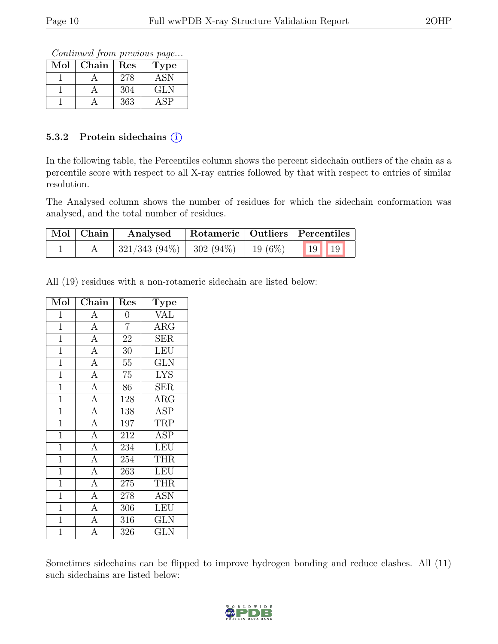Continued from previous page...

| $\operatorname{Mol}$ | Chain | $\operatorname{Res}% \left( \mathcal{N}\right) \equiv\operatorname{Res}(\mathcal{N}_{0},\mathcal{N}_{0})$ | <b>Type</b> |
|----------------------|-------|-----------------------------------------------------------------------------------------------------------|-------------|
|                      |       | 278                                                                                                       | ASN         |
|                      |       | 304                                                                                                       | GLN         |
|                      |       | 363                                                                                                       |             |

#### 5.3.2 Protein side chains (i)

In the following table, the Percentiles column shows the percent sidechain outliers of the chain as a percentile score with respect to all X-ray entries followed by that with respect to entries of similar resolution.

The Analysed column shows the number of residues for which the sidechain conformation was analysed, and the total number of residues.

| $\mid$ Mol $\mid$ Chain $\mid$ | Analysed                                           |  | Rotameric   Outliers   Percentiles |  |
|--------------------------------|----------------------------------------------------|--|------------------------------------|--|
|                                | $\mid$ 321/343 (94%)   302 (94%)   19 (6%)   19 19 |  |                                    |  |

All (19) residues with a non-rotameric sidechain are listed below:

| Mol            | Chain          | $\operatorname{Res}% \left( \mathcal{N}\right) \equiv\operatorname{Res}(\mathcal{N}_{0})\cap\mathcal{N}_{1}$ | <b>Type</b>             |
|----------------|----------------|--------------------------------------------------------------------------------------------------------------|-------------------------|
| 1              | $\overline{A}$ | 0                                                                                                            | $\overline{\text{VAL}}$ |
| $\mathbf{1}$   | $\overline{A}$ | $\overline{7}$                                                                                               | $\rm{ARG}$              |
| $\mathbf{1}$   | $\overline{A}$ | 22                                                                                                           | <b>SER</b>              |
| $\mathbf{1}$   | $\overline{A}$ | 30                                                                                                           | LEU                     |
| $\mathbf{1}$   | $\overline{A}$ | $55\,$                                                                                                       | <b>GLN</b>              |
| $\overline{1}$ | $\overline{A}$ | $\overline{75}$                                                                                              | <b>LYS</b>              |
| $\overline{1}$ | $\overline{A}$ | 86                                                                                                           | <b>SER</b>              |
| $\mathbf{1}$   | $\overline{A}$ | 128                                                                                                          | $\rm{ARG}$              |
| $\mathbf{1}$   | $\overline{A}$ | 138                                                                                                          | <b>ASP</b>              |
| $\mathbf{1}$   | $\overline{A}$ | 197                                                                                                          | TRP                     |
| $\overline{1}$ | $\overline{A}$ | 212                                                                                                          | <b>ASP</b>              |
| $\mathbf{1}$   | $\overline{A}$ | 234                                                                                                          | <b>LEU</b>              |
| $\mathbf{1}$   | $\overline{A}$ | 254                                                                                                          | THR                     |
| $\mathbf{1}$   | $\overline{A}$ | 263                                                                                                          | <b>LEU</b>              |
| $\mathbf{1}$   | $\overline{A}$ | 275                                                                                                          | <b>THR</b>              |
| $\mathbf{1}$   | $\overline{A}$ | 278                                                                                                          | <b>ASN</b>              |
| $\mathbf{1}$   | $\overline{A}$ | 306                                                                                                          | <b>LEU</b>              |
| $\mathbf{1}$   | $\overline{A}$ | 316                                                                                                          | <b>GLN</b>              |
| $\overline{1}$ | $\overline{A}$ | 326                                                                                                          | GLN                     |

Sometimes sidechains can be flipped to improve hydrogen bonding and reduce clashes. All (11) such sidechains are listed below:

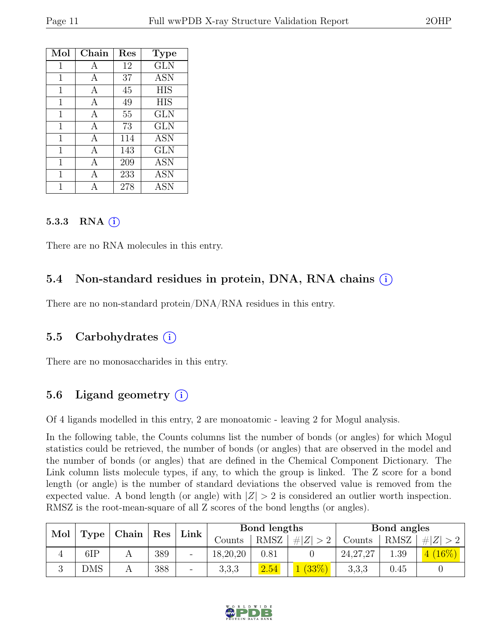| Mol | Chain | Res | <b>Type</b> |
|-----|-------|-----|-------------|
| 1   | A     | 12  | <b>GLN</b>  |
| 1   | A     | 37  | <b>ASN</b>  |
| 1   | А     | 45  | <b>HIS</b>  |
| 1   | А     | 49  | <b>HIS</b>  |
| 1   | A     | 55  | GLN         |
| 1   | A     | 73  | GLN         |
| 1   | A     | 114 | <b>ASN</b>  |
| 1   | A     | 143 | <b>GLN</b>  |
| 1   | А     | 209 | <b>ASN</b>  |
| 1   | А     | 233 | <b>ASN</b>  |
|     |       | 278 | <b>ASN</b>  |

#### $5.3.3$  RNA  $(i)$

There are no RNA molecules in this entry.

#### 5.4 Non-standard residues in protein, DNA, RNA chains (i)

There are no non-standard protein/DNA/RNA residues in this entry.

#### 5.5 Carbohydrates (i)

There are no monosaccharides in this entry.

### 5.6 Ligand geometry (i)

Of 4 ligands modelled in this entry, 2 are monoatomic - leaving 2 for Mogul analysis.

In the following table, the Counts columns list the number of bonds (or angles) for which Mogul statistics could be retrieved, the number of bonds (or angles) that are observed in the model and the number of bonds (or angles) that are defined in the Chemical Component Dictionary. The Link column lists molecule types, if any, to which the group is linked. The Z score for a bond length (or angle) is the number of standard deviations the observed value is removed from the expected value. A bond length (or angle) with  $|Z| > 2$  is considered an outlier worth inspection. RMSZ is the root-mean-square of all Z scores of the bond lengths (or angles).

|     |      |  |     |    |          |      |           | Chain   Res |             |         |  | Link |  | Bond lengths |  |  | Bond angles |  |  |
|-----|------|--|-----|----|----------|------|-----------|-------------|-------------|---------|--|------|--|--------------|--|--|-------------|--|--|
| Mol | Type |  |     |    | Counts   | RMSZ | $\# Z >2$ | Counts      | <b>RMSZ</b> | Z <br># |  |      |  |              |  |  |             |  |  |
|     | 6IP  |  | 389 |    | 18,20,20 | 0.81 |           | 24, 27, 27  | .39         | $16\%)$ |  |      |  |              |  |  |             |  |  |
|     | DMS  |  | 388 | Ξ. | 3,3,3    | 2.54 | (33%)     | 3,3,3       | 0.45        |         |  |      |  |              |  |  |             |  |  |

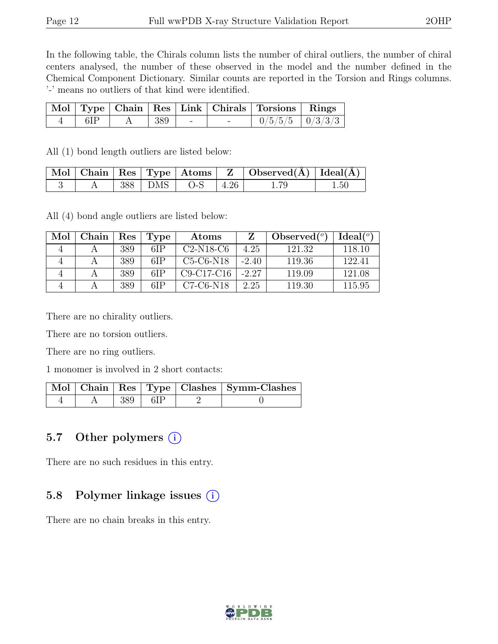In the following table, the Chirals column lists the number of chiral outliers, the number of chiral centers analysed, the number of these observed in the model and the number defined in the Chemical Component Dictionary. Similar counts are reported in the Torsion and Rings columns. '-' means no outliers of that kind were identified.

|     |             |  | Mol   Type   Chain   Res   Link   Chirals   Torsions   Rings |  |
|-----|-------------|--|--------------------------------------------------------------|--|
| 6IP | A   389   - |  | $0/5/5/5$   $0/3/3/3$                                        |  |

All (1) bond length outliers are listed below:

|  |  |                          | $\mid$ Mol $\mid$ Chain $\mid$ Res $\mid$ Type $\mid$ Atoms $\mid$ Z $\mid$ Observed(Å) $\mid$ Ideal(Å) $\mid$ |          |
|--|--|--------------------------|----------------------------------------------------------------------------------------------------------------|----------|
|  |  | $388$   DMS   O-S   4.26 |                                                                                                                | $1.50\,$ |

All (4) bond angle outliers are listed below:

| Mol | Chain | Res | Type | Atoms        |         | Observed $(°)$ | Ideal <sup>(o)</sup> |
|-----|-------|-----|------|--------------|---------|----------------|----------------------|
|     |       | 389 | 6IP  | $C2-N18-C6$  | 4.25    | 121.32         | 118.10               |
|     |       | 389 | 6IP  | $C5-C6-N18$  | $-2.40$ | 119.36         | 122.41               |
|     |       | 389 | 6IP  | $C9-C17-C16$ | $-2.27$ | 119.09         | 121.08               |
|     |       | 389 | 6IP  | $C7-C6-N18$  | 2.25    | 119.30         | 115.95               |

There are no chirality outliers.

There are no torsion outliers.

There are no ring outliers.

1 monomer is involved in 2 short contacts:

|  |                         |  | Mol   Chain   Res   Type   Clashes   Symm-Clashes |
|--|-------------------------|--|---------------------------------------------------|
|  | $\vert$ 389 $\vert$ 6IP |  |                                                   |

#### 5.7 Other polymers  $(i)$

There are no such residues in this entry.

#### 5.8 Polymer linkage issues  $(i)$

There are no chain breaks in this entry.

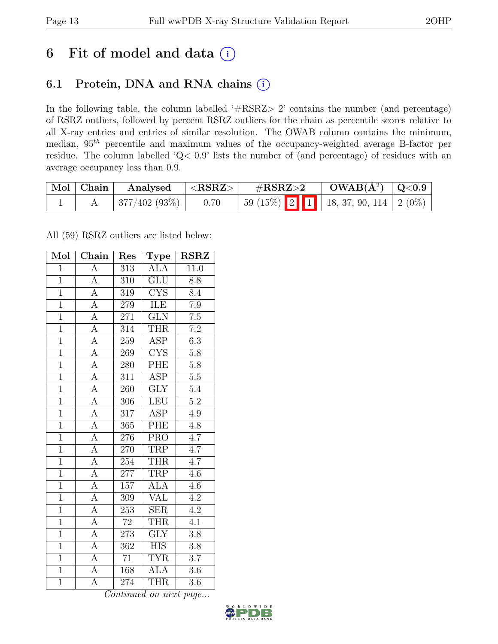# 6 Fit of model and data  $(i)$

### 6.1 Protein, DNA and RNA chains (i)

In the following table, the column labelled ' $\#\text{RSRZ}>2$ ' contains the number (and percentage) of RSRZ outliers, followed by percent RSRZ outliers for the chain as percentile scores relative to all X-ray entries and entries of similar resolution. The OWAB column contains the minimum, median,  $95<sup>th</sup>$  percentile and maximum values of the occupancy-weighted average B-factor per residue. The column labelled 'Q< 0.9' lists the number of (and percentage) of residues with an average occupancy less than 0.9.

| Mol Chain | Analysed     | $^+$ <rsrz> <math>^-</math></rsrz> | $\#\text{RSRZ}\text{>2}$ |  | $OWAB(A^2)   Q<0.9$                         |  |
|-----------|--------------|------------------------------------|--------------------------|--|---------------------------------------------|--|
|           | 377/402(93%) | 0.70                               |                          |  | $\vert$ 59 (15%) 2 1 18, 37, 90, 114 2 (0%) |  |

All (59) RSRZ outliers are listed below:

| Mol            | Chain                   | Res              | Type                    | <b>RSRZ</b>      |
|----------------|-------------------------|------------------|-------------------------|------------------|
| $\mathbf{1}$   | $\overline{A}$          | 313              | <b>ALA</b>              | 11.0             |
| $\overline{1}$ | $\overline{A}$          | 310              | <b>GLU</b>              | 8.8              |
| $\overline{1}$ | $\overline{A}$          | $\overline{319}$ | $\overline{\text{CYS}}$ | 8.4              |
| $\overline{1}$ | $\overline{A}$          | 279              | ILE                     | 7.9              |
| $\overline{1}$ | $\overline{A}$          | 271              | $\overline{\text{GLN}}$ | $\overline{7.5}$ |
| $\overline{1}$ | $\overline{A}$          | 314              | <b>THR</b>              | $\overline{7.2}$ |
| $\overline{1}$ | $\overline{A}$          | 259              | ASP                     | 6.3              |
| $\overline{1}$ | $\overline{A}$          | 269              | $\overline{\text{CYS}}$ | $\overline{5.8}$ |
| $\overline{1}$ | $\overline{\rm A}$      | 280              | PHE                     | $5.8\,$          |
| $\overline{1}$ | $\overline{A}$          | 311              | $\overline{\text{ASP}}$ | $\overline{5.5}$ |
| $\overline{1}$ | A                       | 260              | $\overline{\text{GLY}}$ | 5.4              |
| $\overline{1}$ | $\overline{\rm A}$      | 306              | <b>LEU</b>              | $\overline{5.2}$ |
| $\overline{1}$ | $\overline{\mathbf{A}}$ | 317              | $\overline{ASP}$        | 4.9              |
| $\overline{1}$ | $\overline{A}$          | 365              | PHE                     | 4.8              |
| $\overline{1}$ | $\overline{A}$          | 276              | $\overline{\text{PRO}}$ | $\overline{4.7}$ |
| $\overline{1}$ | $\overline{A}$          | 270              | TRP                     | $\overline{4.7}$ |
| $\overline{1}$ | $\overline{A}$          | 254              | <b>THR</b>              | $\overline{4.7}$ |
| $\overline{1}$ | $\overline{\rm A}$      | 277              | TRP                     | 4.6              |
| $\overline{1}$ | $\overline{A}$          | 157              | <b>ALA</b>              | 4.6              |
| $\overline{1}$ | $\overline{A}$          | 309              | $\overline{\text{VAL}}$ | 4.2              |
| $\overline{1}$ | $\overline{A}$          | 253              | <b>SER</b>              | 4.2              |
| $\overline{1}$ | $\overline{A}$          | $\overline{72}$  | <b>THR</b>              | $\overline{4.1}$ |
| $\mathbf{1}$   | A                       | 273              | $\overline{\text{GLY}}$ | 3.8              |
| $\overline{1}$ | $\overline{A}$          | 362              | $\overline{HIS}$        | 3.8              |
| $\overline{1}$ | $\overline{A}$          | 71               | <b>TYR</b>              | $\overline{3.7}$ |
| $\overline{1}$ | $\overline{\rm A}$      | 168              | <b>ALA</b>              | $\overline{3}.6$ |
| $\overline{1}$ | $\overline{\rm A}$      | 274              | <b>THR</b>              | $\overline{3.6}$ |

Continued on next page...

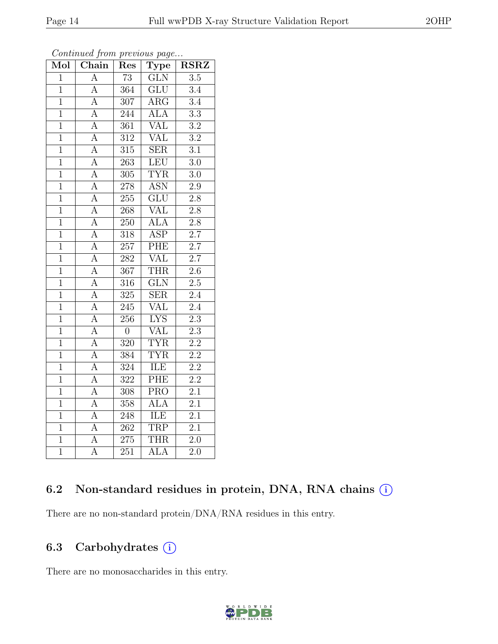| Mol            | Chain              | Res              | <b>Type</b>               | $\overline{\text{RSRZ}}$ |
|----------------|--------------------|------------------|---------------------------|--------------------------|
| $\mathbf{1}$   | $\overline{A}$     | $\overline{73}$  | $\overline{\text{GLN}}$   | $\overline{3.5}$         |
| $\overline{1}$ | $\overline{A}$     | 364              | $\overline{\mathrm{GLU}}$ | $\overline{3.4}$         |
| $\mathbf{1}$   | $\overline{A}$     | 307              | ARG                       | $\overline{3.4}$         |
| $\mathbf{1}$   | $\boldsymbol{A}$   | 244              | ALA                       | $\overline{3.3}$         |
| $\overline{1}$ | $\overline{A}$     | $\overline{361}$ | $\overline{\text{VAL}}$   | $\overline{3.2}$         |
| $\overline{1}$ | $\overline{\rm A}$ | $\overline{312}$ | $\overline{\text{VAL}}$   | $\overline{3.2}$         |
| $\overline{1}$ | $\overline{A}$     | 315              | <b>SER</b>                | 3.1                      |
| $\overline{1}$ | $\overline{A}$     | 263              | LEU                       | $\overline{3.0}$         |
| $\mathbf{1}$   | $\overline{\rm A}$ | $305\,$          | <b>TYR</b>                | $\overline{3.0}$         |
| $\overline{1}$ | $\overline{A}$     | 278              | <b>ASN</b>                | $\overline{2.9}$         |
| $\mathbf{1}$   | $\overline{\rm A}$ | 255              | $\overline{\text{GLU}}$   | $2.\overline{8}$         |
| $\overline{1}$ | $\overline{\rm A}$ | $\overline{268}$ | $\overline{\text{VAL}}$   | $\overline{2.8}$         |
| $\overline{1}$ | $\overline{A}$     | $\overline{250}$ | $\overline{ALA}$          | $\overline{2.8}$         |
| $\mathbf{1}$   | $\overline{\rm A}$ | 318              | $\overline{\text{ASP}}$   | $\overline{2.7}$         |
| $\overline{1}$ | $\overline{A}$     | $\overline{257}$ | PHE                       | $\overline{2.7}$         |
| $\overline{1}$ | A                  | $\overline{282}$ | <b>VAL</b>                | 2.7                      |
| $\overline{1}$ | $\overline{A}$     | $\overline{367}$ | <b>THR</b>                | $\overline{2.6}$         |
| $\overline{1}$ | $\overline{A}$     | 316              | $\overline{\text{GLN}}$   | $\overline{2.5}$         |
| $\overline{1}$ | $\overline{\rm A}$ | $\overline{325}$ | $\overline{\text{SER}}$   | $\overline{2.4}$         |
| $\overline{1}$ | $\overline{A}$     | $\overline{245}$ | $\overline{\text{VAL}}$   | $\overline{2.4}$         |
| $\mathbf{1}$   | $\overline{A}$     | 256              | <b>LYS</b>                | $\overline{2.3}$         |
| $\overline{1}$ | $\overline{A}$     | $\overline{0}$   | <b>VAL</b>                | $\overline{2.3}$         |
| $\overline{1}$ | $\overline{A}$     | 320              | $\overline{\text{TYR}}$   | $\overline{2.2}$         |
| $\overline{1}$ | $\overline{A}$     | $\overline{384}$ | <b>TYR</b>                | $\overline{2.2}$         |
| $\mathbf{1}$   | $\overline{A}$     | $\overline{324}$ | ILE                       | $\overline{2.2}$         |
| $\mathbf{1}$   | $\boldsymbol{A}$   | 322              | $\overline{PHE}$          | 2.2                      |
| $\overline{1}$ | $\overline{\rm A}$ | $\overline{308}$ | $\overline{\text{PRO}}$   | $\overline{2.1}$         |
| $\overline{1}$ | $\overline{A}$     | 358              | <b>ALA</b>                | $\overline{2.1}$         |
| $\overline{1}$ | $\overline{\rm A}$ | 248              | ILE                       | $\overline{2.1}$         |
| $\mathbf{1}$   | $\overline{A}$     | 262              | <b>TRP</b>                | $\overline{2.1}$         |
| $\overline{1}$ | $\overline{A}$     | 275              | THR                       | $\overline{2.0}$         |
| $\overline{1}$ | $\overline{\rm A}$ | 251              | $\overline{\text{ALA}}$   | $\overline{2.0}$         |

Continued from previous page...

### 6.2 Non-standard residues in protein, DNA, RNA chains (i)

There are no non-standard protein/DNA/RNA residues in this entry.

### 6.3 Carbohydrates (i)

There are no monosaccharides in this entry.